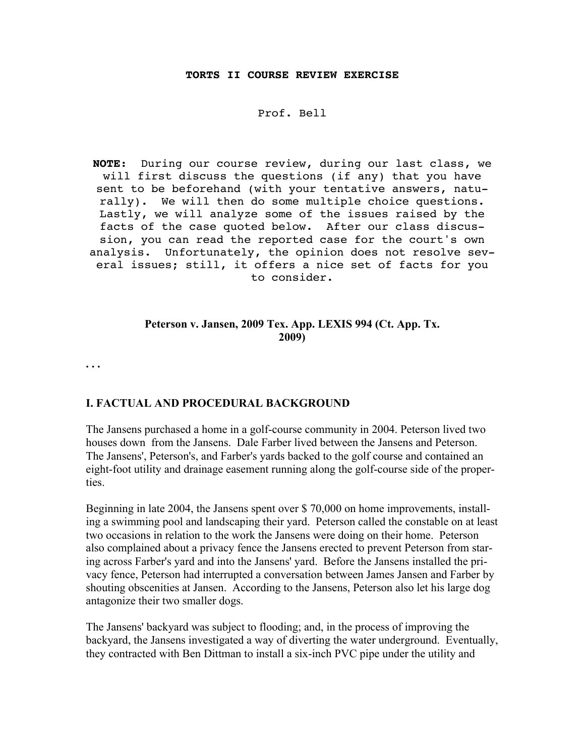## **TORTS II COURSE REVIEW EXERCISE**

## Prof. Bell

**NOTE**: During our course review, during our last class, we will first discuss the questions (if any) that you have sent to be beforehand (with your tentative answers, naturally). We will then do some multiple choice questions. Lastly, we will analyze some of the issues raised by the facts of the case quoted below. After our class discussion, you can read the reported case for the court's own analysis. Unfortunately, the opinion does not resolve several issues; still, it offers a nice set of facts for you to consider.

## Peterson v. Jansen, 2009 Tex. App. LEXIS 994 (Ct. App. Tx. 2009)

. . .

## I. FACTUAL AND PROCEDURAL BACKGROUND

The Jansens purchased a home in a golf-course community in 2004. Peterson lived two houses down from the Jansens. Dale Farber lived between the Jansens and Peterson. The Jansens', Peterson's, and Farber's yards backed to the golf course and contained an eight-foot utility and drainage easement running along the golf-course side of the properties.

Beginning in late 2004, the Jansens spent over \$ 70,000 on home improvements, installing a swimming pool and landscaping their yard. Peterson called the constable on at least two occasions in relation to the work the Jansens were doing on their home. Peterson also complained about a privacy fence the Jansens erected to prevent Peterson from staring across Farber's yard and into the Jansens' yard. Before the Jansens installed the privacy fence, Peterson had interrupted a conversation between James Jansen and Farber by shouting obscenities at Jansen. According to the Jansens, Peterson also let his large dog antagonize their two smaller dogs.

The Jansens' backyard was subject to flooding; and, in the process of improving the backyard, the Jansens investigated a way of diverting the water underground. Eventually, they contracted with Ben Dittman to install a six-inch PVC pipe under the utility and